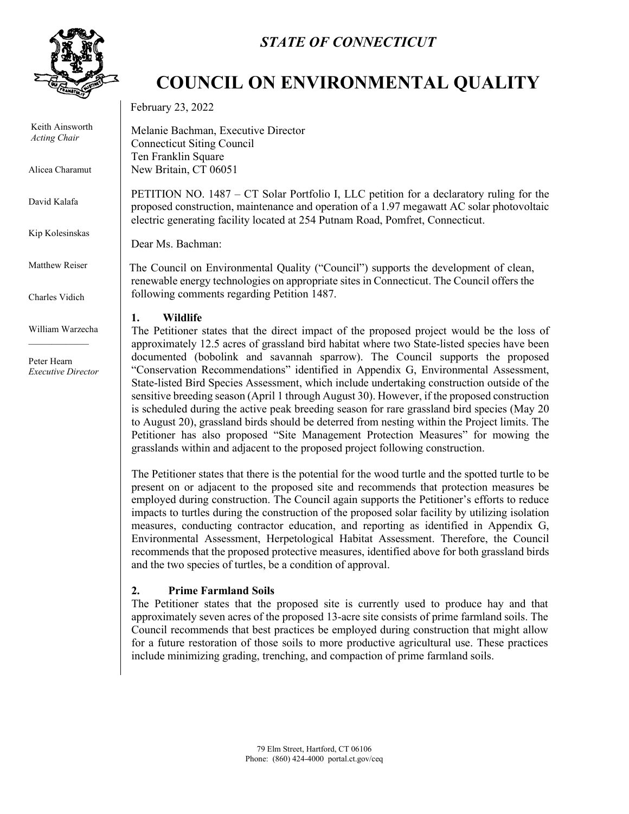

Keith Ainsworth *Acting Chair*

Alicea Charamut

David Kalafa

Kip Kolesinskas

Matthew Reiser

Charles Vidich

William Warzecha  $\mathcal{L}_\text{max}$ 

Peter Hearn *Executive Director*

## *STATE OF CONNECTICUT*

# **COUNCIL ON ENVIRONMENTAL QUALITY**

February 23, 2022

Melanie Bachman, Executive Director Connecticut Siting Council Ten Franklin Square New Britain, CT 06051

PETITION NO. 1487 – CT Solar Portfolio I, LLC petition for a declaratory ruling for the proposed construction, maintenance and operation of a 1.97 megawatt AC solar photovoltaic electric generating facility located at 254 Putnam Road, Pomfret, Connecticut.

Dear Ms. Bachman:

The Council on Environmental Quality ("Council") supports the development of clean, renewable energy technologies on appropriate sites in Connecticut. The Council offers the following comments regarding Petition 1487.

### **1. Wildlife**

The Petitioner states that the direct impact of the proposed project would be the loss of approximately 12.5 acres of grassland bird habitat where two State-listed species have been documented (bobolink and savannah sparrow). The Council supports the proposed "Conservation Recommendations" identified in Appendix G, Environmental Assessment, State-listed Bird Species Assessment, which include undertaking construction outside of the sensitive breeding season (April 1 through August 30). However, if the proposed construction is scheduled during the active peak breeding season for rare grassland bird species (May 20 to August 20), grassland birds should be deterred from nesting within the Project limits. The Petitioner has also proposed "Site Management Protection Measures" for mowing the grasslands within and adjacent to the proposed project following construction.

The Petitioner states that there is the potential for the wood turtle and the spotted turtle to be present on or adjacent to the proposed site and recommends that protection measures be employed during construction. The Council again supports the Petitioner's efforts to reduce impacts to turtles during the construction of the proposed solar facility by utilizing isolation measures, conducting contractor education, and reporting as identified in Appendix G, Environmental Assessment, Herpetological Habitat Assessment. Therefore, the Council recommends that the proposed protective measures, identified above for both grassland birds and the two species of turtles, be a condition of approval.

### **2. Prime Farmland Soils**

The Petitioner states that the proposed site is currently used to produce hay and that approximately seven acres of the proposed 13-acre site consists of prime farmland soils. The Council recommends that best practices be employed during construction that might allow for a future restoration of those soils to more productive agricultural use. These practices include minimizing grading, trenching, and compaction of prime farmland soils.